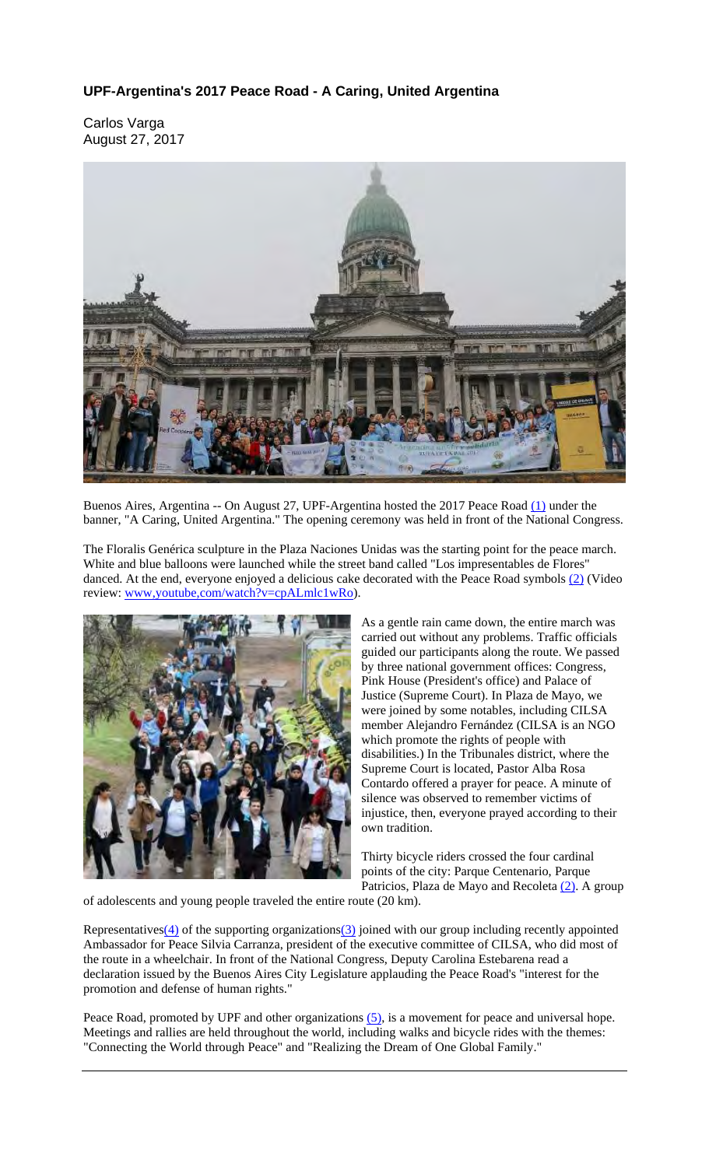## **UPF-Argentina's 2017 Peace Road - A Caring, United Argentina**

Carlos Varga August 27, 2017



Buenos Aires, Argentina -- On August 27, UPF-Argentina hosted the 2017 Peace Road (1) under the banner, "A Caring, United Argentina." The opening ceremony was held in front of the National Congress.

The Floralis Genérica sculpture in the Plaza Naciones Unidas was the starting point for the peace march. White and blue balloons were launched while the street band called "Los impresentables de Flores" danced. At the end, everyone enjoyed a delicious cake decorated with the Peace Road symbols (2) (Video review: www.youtube.com/watch?v=cpALmlc1wRo).



As a gentle rain came down, the entire march was carried out without any problems. Traffic officials guided our participants along the route. We passed by three national government offices: Congress, Pink House (President's office) and Palace of Justice (Supreme Court). In Plaza de Mayo, we were joined by some notables, including CILSA member Alejandro Fernández (CILSA is an NGO which promote the rights of people with disabilities.) In the Tribunales district, where the Supreme Court is located, Pastor Alba Rosa Contardo offered a prayer for peace. A minute of silence was observed to remember victims of injustice, then, everyone prayed according to their own tradition.

Thirty bicycle riders crossed the four cardinal points of the city: Parque Centenario, Parque Patricios, Plaza de Mayo and Recoleta <sup>(2)</sup>. A group

of adolescents and young people traveled the entire route (20 km).

Representatives( $\overline{4}$ ) of the supporting organizations( $\overline{3}$ ) joined with our group including recently appointed Ambassador for Peace Silvia Carranza, president of the executive committee of CILSA, who did most of the route in a wheelchair. In front of the National Congress, Deputy Carolina Estebarena read a declaration issued by the Buenos Aires City Legislature applauding the Peace Road's "interest for the promotion and defense of human rights."

Peace Road, promoted by UPF and other organizations (5), is a movement for peace and universal hope. Meetings and rallies are held throughout the world, including walks and bicycle rides with the themes: "Connecting the World through Peace" and "Realizing the Dream of One Global Family."